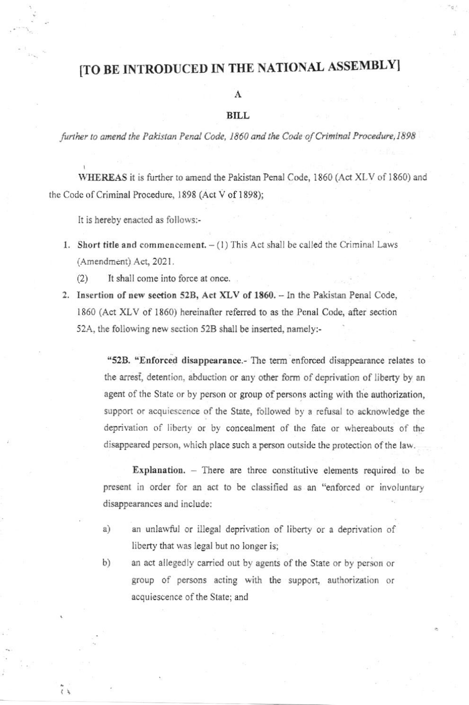## [TO BE INTRODUCED IN THE NATIONAL ASSEMBLY]

A

### **BILL**

further to amend the Pakistan Penal Code, 1860 and the Code of Criminal Procedure, 1898

WHEREAS it is further to amend the Pakistan Penal Code, 1860 (Act XLV of 1860) and the Code of Criminal Procedure, 1898 (Act V of 1898);

It is hereby enacted as follows:-

- 1. Short title and commencement.  $(1)$  This Act shall be called the Criminal Laws (Amendment) Act, 2021.
	- It shall come into force at once.  $(2)$
- 2. Insertion of new section 52B, Act XLV of 1860. In the Pakistan Penal Code, 1860 (Act XLV of 1860) hereinafter referred to as the Penal Code, after section 52A, the following new section 52B shall be inserted, namely:-

"52B. "Enforced disappearance.- The term enforced disappearance relates to the arrest, detention, abduction or any other form of deprivation of liberty by an agent of the State or by person or group of persons acting with the authorization, support or acquiescence of the State, followed by a refusal to acknowledge the deprivation of liberty or by concealment of the fate or whereabouts of the disappeared person, which place such a person outside the protection of the law.

Explanation. - There are three constitutive elements required to be present in order for an act to be classified as an "enforced or involuntary disappearances and include:

- an unlawful or illegal deprivation of liberty or a deprivation of a) liberty that was legal but no longer is;
- b) an act allegedly carried out by agents of the State or by person or group of persons acting with the support, authorization or acquiescence of the State; and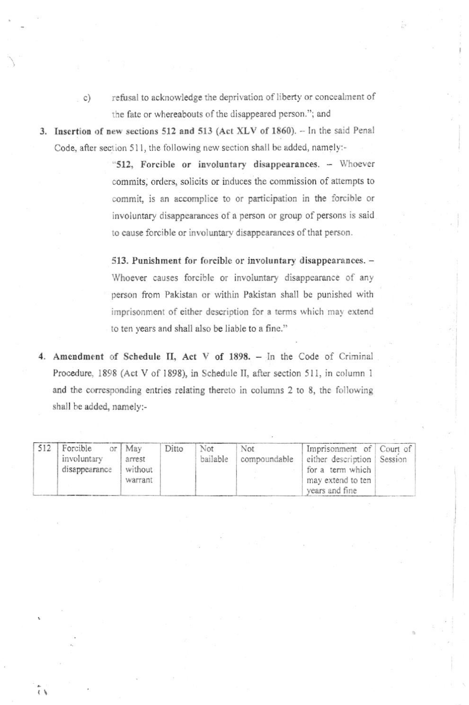- refusal to acknowledge the deprivation of liberty or concealment of  $\circ$ ) the fate or whereabouts of the disappeared person."; and
- 3. Insertion of new sections 512 and 513 (Act XLV of 1860). In the said Penal Code, after section 511, the following new section shall be added, namely:-

"512, Forcible or involuntary disappearances. - Whoever commits, orders, solicits or induces the commission of attempts to commit, is an accomplice to or participation in the forcible or involuntary disappearances of a person or group of persons is said to cause forcible or involuntary disappearances of that person.

513. Punishment for forcible or involuntary disappearances. -Whoever causes forcible or involuntary disappearance of any person from Pakistan or within Pakistan shall be punished with imprisonment of either description for a terms which may extend to ten years and shall also be liable to a fine."

4. Amendment of Schedule II, Act V of 1898. - In the Code of Criminal Procedure, 1898 (Act V of 1898), in Schedule II, after section 511, in column 1 and the corresponding entries relating thereto in columns 2 to 8, the following shall be added, namely:-

| 512 | Forcible<br>involuntary<br>disappearance | or $M$ ay<br>arrest<br>without<br>warrant | Ditto | Not<br>bailable | Not<br>compoundable | Imprisonment of Court of<br>either description Session<br>for a term which<br>may extend to ten<br>years and fine |  |
|-----|------------------------------------------|-------------------------------------------|-------|-----------------|---------------------|-------------------------------------------------------------------------------------------------------------------|--|
|-----|------------------------------------------|-------------------------------------------|-------|-----------------|---------------------|-------------------------------------------------------------------------------------------------------------------|--|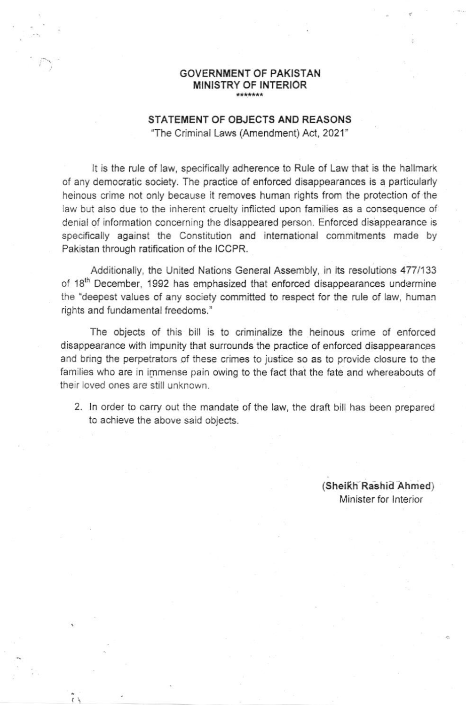#### **GOVERNMENT OF PAKISTAN** MINISTRY OF INTERIOR \*\*\*\*\*\*\*

### STATEMENT OF OBJECTS AND REASONS

"The Criminal Laws (Amendment) Act, 2021"

It is the rule of law, specifically adherence to Rule of Law that is the hallmark of any democratic society. The practice of enforced disappearances is a particularly heinous crime not only because it removes human rights from the protection of the law but also due to the inherent cruelty inflicted upon families as a consequence of denial of information concerning the disappeared person. Enforced disappearance is specifically against the Constitution and international commitments made by Pakistan through ratification of the ICCPR.

Additionally, the United Nations General Assembly, in its resolutions 477/133 of 18<sup>th</sup> December, 1992 has emphasized that enforced disappearances undermine the "deepest values of any society committed to respect for the rule of law, human rights and fundamental freedoms."

The objects of this bill is to criminalize the heinous crime of enforced disappearance with impunity that surrounds the practice of enforced disappearances and bring the perpetrators of these crimes to justice so as to provide closure to the families who are in immense pain owing to the fact that the fate and whereabouts of their loved ones are still unknown.

2. In order to carry out the mandate of the law, the draft bill has been prepared to achieve the above said objects.

> (Sheikh Rashid Ahmed) Minister for Interior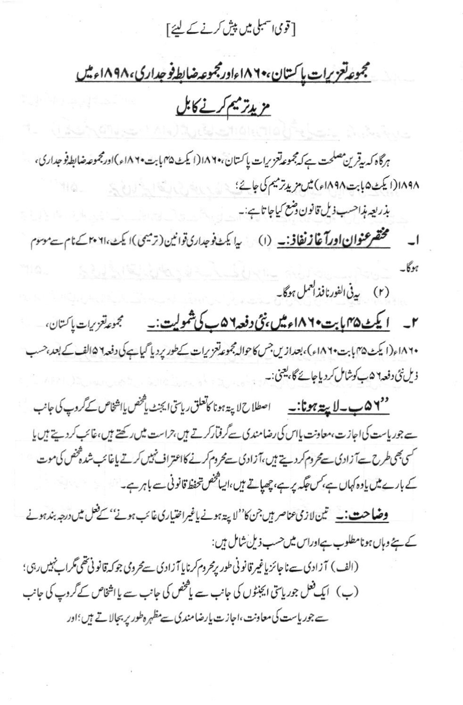[قومی اسمبلی میں پیش کرنے کے لیئے]

## مجموعه تعزيرات بإكستان، • ١٨٢ اورمجموعه ضابط فوجداري، ١٨٩٨ اء ميل

# مزيد تريم كرنے كابل

هرگاه که بیقرین مصلحت ہے کہ مجموعه تعزیرات پاکستان، ۱۸۶۴ (ایکٹ ۳۵ بابت ۱۸۶۰ء)اورمجموعہ ضابط فو جداری، ١٨٩٨(ايکٹ۵بابت١٨٩٨) ميں مزيد ترميم کی جائے؛ بذريعه مذاحسب ذيل قانون دضع كياجا تاہے:۔

مختصر عنوان اورآغاز نغاف<sub>ت (</sub>۱) یا یک فوجداری توانین (ترمیمی)ایک ۲۰۶۱۰ کے نام ہے موسوم  $\overline{\phantom{0}}$  $\mathcal{L}_{\mathcal{M}}$ 

(۲) پەنى الفورنافذالعمل ہوگا۔

۲\_ <u>ایکٹ ۱</u>۸**۴۵ پت۱۸۶۰ء میں نئی دفعہ ۱۵ ب کی شمولیت:۔** مجموع<sup>ت</sup>عزیرات پاکستان، ۱۸۶۰ م(ایکٹ ۴۵ بابت ۱۸۶۰م)، بعدازیں جس کاحوالہ مجموعہ تعزیرات کےطور پر دیا گیاہے کی دفعہ ۱۵الف کے بعد،حسب ذیل نئی دفعہ ۹ ۵ ب کوشامل کردیا جائے گا، یعنی:۔

<u> '' ۵ کا ہے۔ لایتے ہونا:۔ سے اصطلاح لاپۃ ہونا کاتعلق ریاستی ایجنٹ پاکھنس پااشخاص کے گروپ کی جانب</u> سے جوریاست کی اجازت،معاونت پاس کی رضامندی سے گرفتار کرتے ہیں،حراست میں رکھتے ہیں،غائب کردیتے ہیں یا کسی بھی طرح ہےآ زادی سے محروم کر دیتے ہیں،آزادی سے محروم کرنے کااعتراف نہیں کرتے باغا ئب شدہ فخص کی موت کے بارے میں یادہ کہاں ہے، کس جگہ پر ہے، چھپاتے ہیں، ایپاشخص تحفظ قانونی سے باہر ہے۔

<mark>وضاحت:۔</mark> تین لازی عناصر ہیں جن کا''لاپنڈ ہونے یاغیراختیاری غائب ہونے'' کے فعل میں درجہ بند ہونے کے ہے وہاں ہونامطلوب ہےاوراس میں حسب ذیل شامل ہیں:

(الف) آزادی سےنا جائز پاغیر قانونی طور پرمحروم کرنایا آزادی سےمحروی جوکہ قانونی تھی مگراپنہیں رہی؛ (ب) ایک فعل جوریاسی ایجنٹوں کی جانب سے پاکھنھں کی جانب سے یا اشخاص کے گروپ کی جانب سے جوریاست کی معاونت،اجازت پارضامندی سے مظہرہ طور پر بجالاتے ہیں؛اور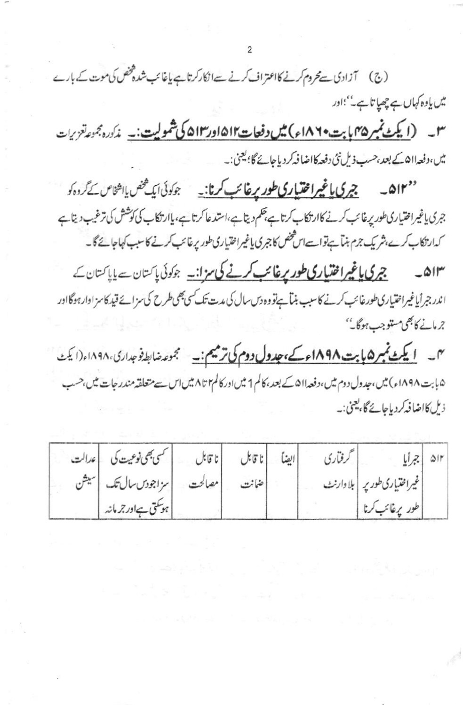(ج) آزادی ہے محروم کرنے کااعتراف کرنے سےانکارکرتاہے باغائب شدہ فخص کی موت کے بارے میں یاوہ کہاں ہے چھپا تاہے۔ باور ۳۔ (<u>ایکٹ نمبر ۴۵ بابت ۱۸۶</u>۹ء) میں دفعات ۱۵۱۲در ۵۱۳ کی شمولیت:۔ مذکورہ جموعاتزیرات میں،دفعہ ااھ کے بعد،حسب ذیل نئی دفعہ کااضا فہ کردیاجائے گا؛ یعنی:۔

''۵۱۳ ۔ چرکی یاغیرا<del>ختی</del>اری طور پرغائب کرنا:۔ جوکوئی ایک محض یااشخاص کے گروہ کو جری یاغیراختیاری طور پرغائب کرنے کاارتکاب کرتاہے، حکم دیتاہے،استدعا کرتاہے،یاارتکاب کی کوشش کی ترغیب دیتاہے کدارتکاب کرے،شریک جزم بناہےتواست اس مخض کا جبری یاغیراختیاری طور پرغائب کرنے کا سبب کہاجائے گا۔

چر کی یاغیرافتیار کی طور پرغائب کرنے کی ہزانیہ جوکوئی پاکستان سے پاپاکستان کے  $\triangle$ اندر جرأياغيراختيارى طورغائب كرنے كاسب بنيآ ہےنووہ دس سال كى مدت تك كسى بھى طرح كى سزائے قيد كاسز ادارہوگااور جرمانے کا بھی مستوجب ہوگا۔''

س <u>ایکٹ نمبر ۱۵ بابت ۱۸۹۸ء کے، جدول دوم کی ترمیم:۔</u> مجموعہ ضابط فوجداری، ۱۸۹۸ء(ایکٹ ۵ بابت ۱۸۹۸ء) میں، جدول دوم میں، دفعہ ۵۱۱ کے بعد، کالم 1 میں اور کالم ۲ تا ۸ میں اس سے متعلقہ مندر جات میں، حسب ذيل كااضا ف<sub>ع</sub>كردياجائے گا، يعني:۔

|  | أسمى بھى نوعيت كى يا عدالت    | ابينا إناقابل إناقابل | كرفتاري |                               | ١٢ﻫ   جرأيا |
|--|-------------------------------|-----------------------|---------|-------------------------------|-------------|
|  | مصالحت   سزاجودسسال تک   سیشن | إضانت                 |         | غیراختیاری طور پر   بلا دارنٹ |             |
|  | ہوسکتی ہےاور جرمانہ           |                       |         | طور پرغائب کرنا               |             |